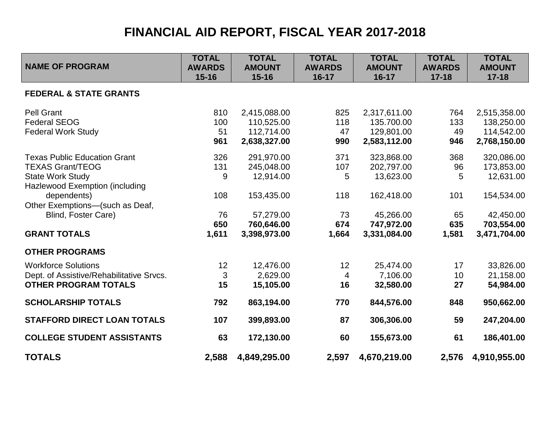## **FINANCIAL AID REPORT, FISCAL YEAR 2017-2018**

| <b>NAME OF PROGRAM</b>                   | <b>TOTAL</b><br><b>AWARDS</b><br>$15 - 16$ | <b>TOTAL</b><br><b>AMOUNT</b><br>$15 - 16$ | <b>TOTAL</b><br><b>AWARDS</b><br>$16-17$ | <b>TOTAL</b><br><b>AMOUNT</b><br>$16 - 17$ | <b>TOTAL</b><br><b>AWARDS</b><br>$17 - 18$ | <b>TOTAL</b><br><b>AMOUNT</b><br>$17 - 18$ |
|------------------------------------------|--------------------------------------------|--------------------------------------------|------------------------------------------|--------------------------------------------|--------------------------------------------|--------------------------------------------|
| <b>FEDERAL &amp; STATE GRANTS</b>        |                                            |                                            |                                          |                                            |                                            |                                            |
| <b>Pell Grant</b>                        | 810                                        | 2,415,088.00                               | 825                                      | 2,317,611.00                               | 764                                        | 2,515,358.00                               |
| <b>Federal SEOG</b>                      | 100                                        | 110,525.00                                 | 118                                      | 135.700.00                                 | 133                                        | 138,250.00                                 |
| <b>Federal Work Study</b>                | 51                                         | 112,714.00                                 | 47                                       | 129,801.00                                 | 49                                         | 114,542.00                                 |
|                                          | 961                                        | 2,638,327.00                               | 990                                      | 2,583,112.00                               | 946                                        | 2,768,150.00                               |
| <b>Texas Public Education Grant</b>      | 326                                        | 291,970.00                                 | 371                                      | 323,868.00                                 | 368                                        | 320,086.00                                 |
| <b>TEXAS Grant/TEOG</b>                  | 131                                        | 245,048.00                                 | 107                                      | 202,797.00                                 | 96                                         | 173,853.00                                 |
| <b>State Work Study</b>                  | 9                                          | 12,914.00                                  | 5                                        | 13,623.00                                  | 5                                          | 12,631.00                                  |
| <b>Hazlewood Exemption (including</b>    |                                            |                                            |                                          |                                            |                                            |                                            |
| dependents)                              | 108                                        | 153,435.00                                 | 118                                      | 162,418.00                                 | 101                                        | 154,534.00                                 |
| Other Exemptions-(such as Deaf,          |                                            |                                            |                                          |                                            |                                            |                                            |
| Blind, Foster Care)                      | 76                                         | 57,279.00                                  | 73                                       | 45,266.00                                  | 65                                         | 42,450.00                                  |
|                                          | 650                                        | 760,646.00                                 | 674                                      | 747,972.00                                 | 635                                        | 703,554.00                                 |
| <b>GRANT TOTALS</b>                      | 1,611                                      | 3,398,973.00                               | 1,664                                    | 3,331,084.00                               | 1,581                                      | 3,471,704.00                               |
| <b>OTHER PROGRAMS</b>                    |                                            |                                            |                                          |                                            |                                            |                                            |
| <b>Workforce Solutions</b>               | 12                                         | 12,476.00                                  | 12                                       | 25,474.00                                  | 17                                         | 33,826.00                                  |
| Dept. of Assistive/Rehabilitative Srvcs. | 3                                          | 2,629.00                                   | 4                                        | 7,106.00                                   | 10                                         | 21,158.00                                  |
| <b>OTHER PROGRAM TOTALS</b>              | 15                                         | 15,105.00                                  | 16                                       | 32,580.00                                  | 27                                         | 54,984.00                                  |
| <b>SCHOLARSHIP TOTALS</b>                | 792                                        | 863,194.00                                 | 770                                      | 844,576.00                                 | 848                                        | 950,662.00                                 |
| <b>STAFFORD DIRECT LOAN TOTALS</b>       | 107                                        | 399,893.00                                 | 87                                       | 306,306.00                                 | 59                                         | 247,204.00                                 |
| <b>COLLEGE STUDENT ASSISTANTS</b>        | 63                                         | 172,130.00                                 | 60                                       | 155,673.00                                 | 61                                         | 186,401.00                                 |
| <b>TOTALS</b>                            | 2,588                                      | 4,849,295.00                               | 2,597                                    | 4,670,219.00                               | 2,576                                      | 4,910,955.00                               |